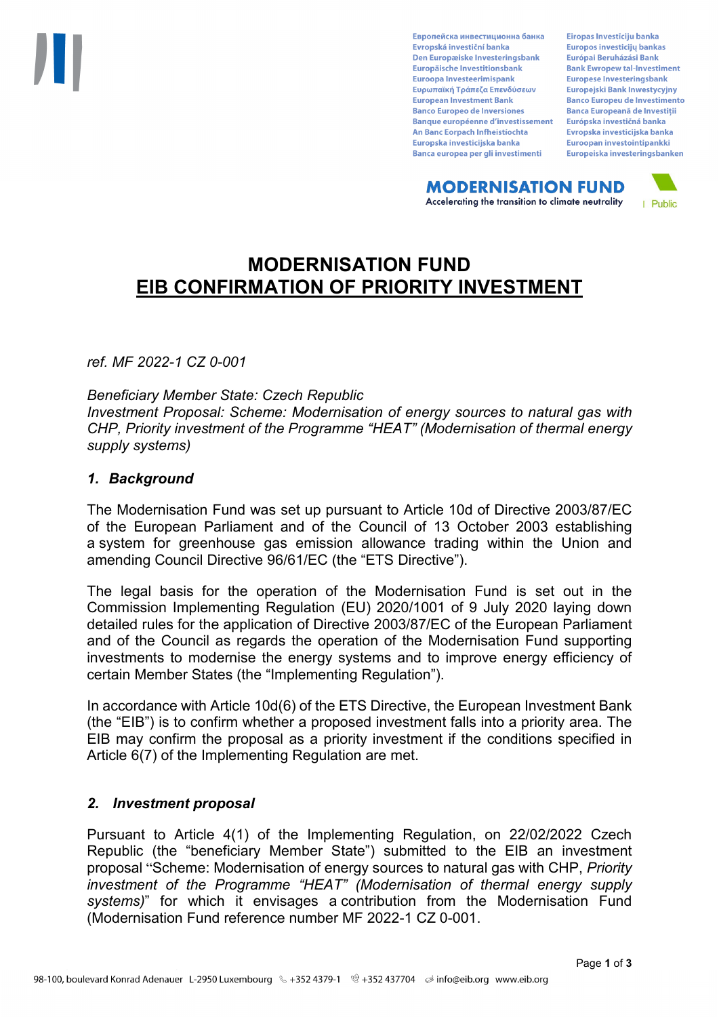Европейска инвестиционна банка Evropská investiční banka Den Europæiske Investeringsbank Europäische Investitionsbank Euroopa Investeerimispank Ευρωπαϊκή Τράπεζα Επενδύσεων **European Investment Bank Banco Europeo de Inversiones Banque européenne d'investissement** An Banc Eorpach Infheistíochta Europska investicijska banka Banca europea per gli investimenti

Eiropas Investīciju banka Europos investicijų bankas Európai Beruházási Bank **Bank Ewropew tal-Investiment** Europese Investeringsbank **Europeiski Bank Inwestycviny Banco Europeu de Investimento Banca Europeană de Investiții** Európska investičná banka Evropska investicijska banka Euroopan investointipankki Europeiska investeringsbanken

**MODERNISATION FUND** Accelerating the transition to climate neutrality



# **MODERNISATION FUND EIB CONFIRMATION OF PRIORITY INVESTMENT**

*ref. MF 2022-1 CZ 0-001*

*Beneficiary Member State: Czech Republic Investment Proposal: Scheme: Modernisation of energy sources to natural gas with CHP, Priority investment of the Programme "HEAT" (Modernisation of thermal energy supply systems)*

## *1. Background*

The Modernisation Fund was set up pursuant to Article 10d of Directive 2003/87/EC of the European Parliament and of the Council of 13 October 2003 establishing a system for greenhouse gas emission allowance trading within the Union and amending Council Directive 96/61/EC (the "ETS Directive").

The legal basis for the operation of the Modernisation Fund is set out in the Commission Implementing Regulation (EU) 2020/1001 of 9 July 2020 laying down detailed rules for the application of Directive 2003/87/EC of the European Parliament and of the Council as regards the operation of the Modernisation Fund supporting investments to modernise the energy systems and to improve energy efficiency of certain Member States (the "Implementing Regulation").

In accordance with Article 10d(6) of the ETS Directive, the European Investment Bank (the "EIB") is to confirm whether a proposed investment falls into a priority area. The EIB may confirm the proposal as a priority investment if the conditions specified in Article 6(7) of the Implementing Regulation are met.

# *2. Investment proposal*

Pursuant to Article 4(1) of the Implementing Regulation, on 22/02/2022 Czech Republic (the "beneficiary Member State") submitted to the EIB an investment proposal "Scheme: Modernisation of energy sources to natural gas with CHP, *Priority investment of the Programme "HEAT" (Modernisation of thermal energy supply systems)*" for which it envisages a contribution from the Modernisation Fund (Modernisation Fund reference number MF 2022-1 CZ 0-001.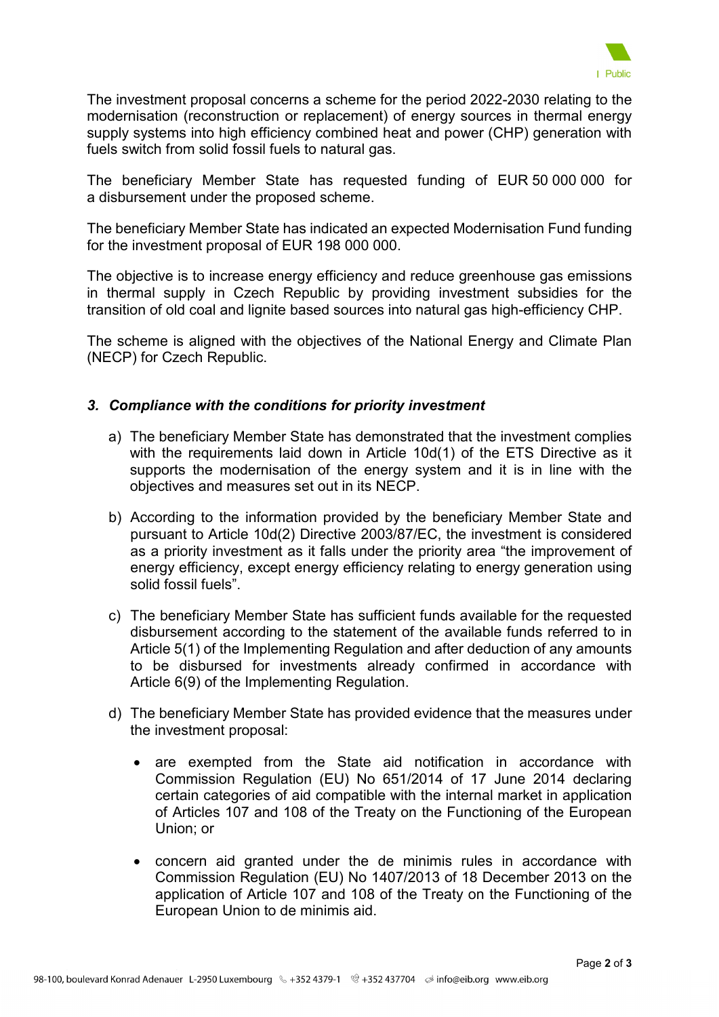

The investment proposal concerns a scheme for the period 2022-2030 relating to the modernisation (reconstruction or replacement) of energy sources in thermal energy supply systems into high efficiency combined heat and power (CHP) generation with fuels switch from solid fossil fuels to natural gas.

The beneficiary Member State has requested funding of EUR 50 000 000 for a disbursement under the proposed scheme.

The beneficiary Member State has indicated an expected Modernisation Fund funding for the investment proposal of EUR 198 000 000.

The objective is to increase energy efficiency and reduce greenhouse gas emissions in thermal supply in Czech Republic by providing investment subsidies for the transition of old coal and lignite based sources into natural gas high-efficiency CHP.

The scheme is aligned with the objectives of the National Energy and Climate Plan (NECP) for Czech Republic.

## *3. Compliance with the conditions for priority investment*

- a) The beneficiary Member State has demonstrated that the investment complies with the requirements laid down in Article 10d(1) of the ETS Directive as it supports the modernisation of the energy system and it is in line with the objectives and measures set out in its NECP.
- b) According to the information provided by the beneficiary Member State and pursuant to Article 10d(2) Directive 2003/87/EC, the investment is considered as a priority investment as it falls under the priority area "the improvement of energy efficiency, except energy efficiency relating to energy generation using solid fossil fuels".
- c) The beneficiary Member State has sufficient funds available for the requested disbursement according to the statement of the available funds referred to in Article 5(1) of the Implementing Regulation and after deduction of any amounts to be disbursed for investments already confirmed in accordance with Article 6(9) of the Implementing Regulation.
- d) The beneficiary Member State has provided evidence that the measures under the investment proposal:
	- are exempted from the State aid notification in accordance with Commission Regulation (EU) No 651/2014 of 17 June 2014 declaring certain categories of aid compatible with the internal market in application of Articles 107 and 108 of the Treaty on the Functioning of the European Union; or
	- concern aid granted under the de minimis rules in accordance with Commission Regulation (EU) No 1407/2013 of 18 December 2013 on the application of Article 107 and 108 of the Treaty on the Functioning of the European Union to de minimis aid.